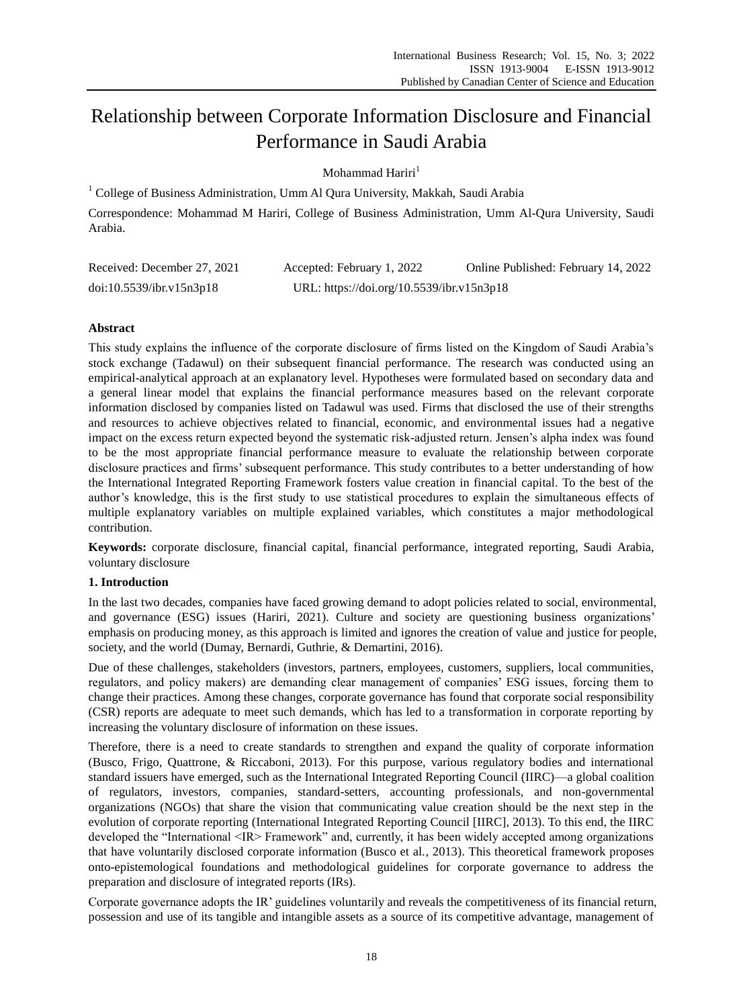# Relationship between Corporate Information Disclosure and Financial Performance in Saudi Arabia

Mohammad Hariri $<sup>1</sup>$ </sup>

<sup>1</sup> College of Business Administration, Umm Al Qura University, Makkah, Saudi Arabia

Correspondence: Mohammad M Hariri, College of Business Administration, Umm Al-Qura University, Saudi Arabia.

| Received: December 27, 2021 | Accepted: February 1, 2022                | Online Published: February 14, 2022 |
|-----------------------------|-------------------------------------------|-------------------------------------|
| doi:10.5539/ibr.v15n3p18    | URL: https://doi.org/10.5539/ibr.v15n3p18 |                                     |

# **Abstract**

This study explains the influence of the corporate disclosure of firms listed on the Kingdom of Saudi Arabia's stock exchange (Tadawul) on their subsequent financial performance. The research was conducted using an empirical-analytical approach at an explanatory level. Hypotheses were formulated based on secondary data and a general linear model that explains the financial performance measures based on the relevant corporate information disclosed by companies listed on Tadawul was used. Firms that disclosed the use of their strengths and resources to achieve objectives related to financial, economic, and environmental issues had a negative impact on the excess return expected beyond the systematic risk-adjusted return. Jensen's alpha index was found to be the most appropriate financial performance measure to evaluate the relationship between corporate disclosure practices and firms' subsequent performance. This study contributes to a better understanding of how the International Integrated Reporting Framework fosters value creation in financial capital. To the best of the author's knowledge, this is the first study to use statistical procedures to explain the simultaneous effects of multiple explanatory variables on multiple explained variables, which constitutes a major methodological contribution.

**Keywords:** corporate disclosure, financial capital, financial performance, integrated reporting, Saudi Arabia, voluntary disclosure

# **1. Introduction**

In the last two decades, companies have faced growing demand to adopt policies related to social, environmental, and governance (ESG) issues (Hariri, 2021). Culture and society are questioning business organizations' emphasis on producing money, as this approach is limited and ignores the creation of value and justice for people, society, and the world (Dumay, Bernardi, Guthrie, & Demartini, 2016).

Due of these challenges, stakeholders (investors, partners, employees, customers, suppliers, local communities, regulators, and policy makers) are demanding clear management of companies' ESG issues, forcing them to change their practices. Among these changes, corporate governance has found that corporate social responsibility (CSR) reports are adequate to meet such demands, which has led to a transformation in corporate reporting by increasing the voluntary disclosure of information on these issues.

Therefore, there is a need to create standards to strengthen and expand the quality of corporate information (Busco, Frigo, Quattrone, & Riccaboni, 2013). For this purpose, various regulatory bodies and international standard issuers have emerged, such as the International Integrated Reporting Council (IIRC)—a global coalition of regulators, investors, companies, standard-setters, accounting professionals, and non-governmental organizations (NGOs) that share the vision that communicating value creation should be the next step in the evolution of corporate reporting (International Integrated Reporting Council [IIRC], 2013). To this end, the IIRC developed the "International <IR> Framework" and, currently, it has been widely accepted among organizations that have voluntarily disclosed corporate information (Busco et al., 2013). This theoretical framework proposes onto-epistemological foundations and methodological guidelines for corporate governance to address the preparation and disclosure of integrated reports (IRs).

Corporate governance adopts the IR' guidelines voluntarily and reveals the competitiveness of its financial return, possession and use of its tangible and intangible assets as a source of its competitive advantage, management of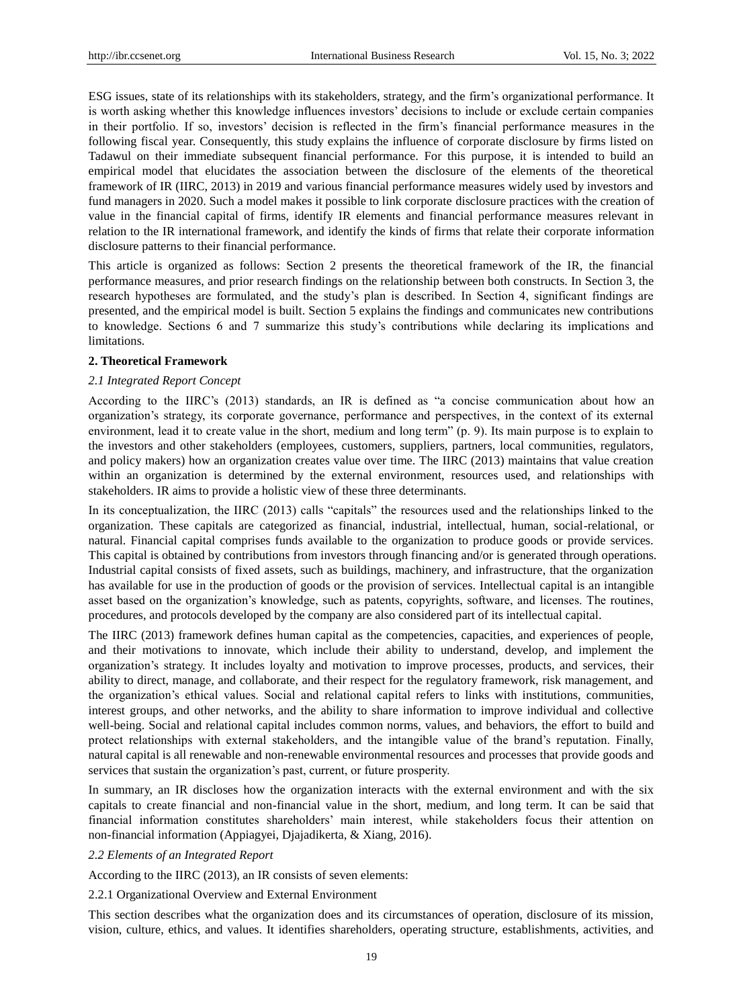ESG issues, state of its relationships with its stakeholders, strategy, and the firm's organizational performance. It is worth asking whether this knowledge influences investors' decisions to include or exclude certain companies in their portfolio. If so, investors' decision is reflected in the firm's financial performance measures in the following fiscal year. Consequently, this study explains the influence of corporate disclosure by firms listed on Tadawul on their immediate subsequent financial performance. For this purpose, it is intended to build an empirical model that elucidates the association between the disclosure of the elements of the theoretical framework of IR (IIRC, 2013) in 2019 and various financial performance measures widely used by investors and fund managers in 2020. Such a model makes it possible to link corporate disclosure practices with the creation of value in the financial capital of firms, identify IR elements and financial performance measures relevant in relation to the IR international framework, and identify the kinds of firms that relate their corporate information disclosure patterns to their financial performance.

This article is organized as follows: Section 2 presents the theoretical framework of the IR, the financial performance measures, and prior research findings on the relationship between both constructs. In Section 3, the research hypotheses are formulated, and the study's plan is described. In Section 4, significant findings are presented, and the empirical model is built. Section 5 explains the findings and communicates new contributions to knowledge. Sections 6 and 7 summarize this study's contributions while declaring its implications and limitations.

# **2. Theoretical Framework**

# *2.1 Integrated Report Concept*

According to the IIRC's  $(2013)$  standards, an IR is defined as "a concise communication about how an organization's strategy, its corporate governance, performance and perspectives, in the context of its external environment, lead it to create value in the short, medium and long term" (p. 9). Its main purpose is to explain to the investors and other stakeholders (employees, customers, suppliers, partners, local communities, regulators, and policy makers) how an organization creates value over time. The IIRC (2013) maintains that value creation within an organization is determined by the external environment, resources used, and relationships with stakeholders. IR aims to provide a holistic view of these three determinants.

In its conceptualization, the IIRC  $(2013)$  calls "capitals" the resources used and the relationships linked to the organization. These capitals are categorized as financial, industrial, intellectual, human, social-relational, or natural. Financial capital comprises funds available to the organization to produce goods or provide services. This capital is obtained by contributions from investors through financing and/or is generated through operations. Industrial capital consists of fixed assets, such as buildings, machinery, and infrastructure, that the organization has available for use in the production of goods or the provision of services. Intellectual capital is an intangible asset based on the organization's knowledge, such as patents, copyrights, software, and licenses. The routines, procedures, and protocols developed by the company are also considered part of its intellectual capital.

The IIRC (2013) framework defines human capital as the competencies, capacities, and experiences of people, and their motivations to innovate, which include their ability to understand, develop, and implement the organization's strategy. It includes loyalty and motivation to improve processes, products, and services, their ability to direct, manage, and collaborate, and their respect for the regulatory framework, risk management, and the organization's ethical values. Social and relational capital refers to links with institutions, communities, interest groups, and other networks, and the ability to share information to improve individual and collective well-being. Social and relational capital includes common norms, values, and behaviors, the effort to build and protect relationships with external stakeholders, and the intangible value of the brand's reputation. Finally, natural capital is all renewable and non-renewable environmental resources and processes that provide goods and services that sustain the organization's past, current, or future prosperity.

In summary, an IR discloses how the organization interacts with the external environment and with the six capitals to create financial and non-financial value in the short, medium, and long term. It can be said that financial information constitutes shareholders' main interest, while stakeholders focus their attention on non-financial information (Appiagyei, Djajadikerta, & Xiang, 2016).

# *2.2 Elements of an Integrated Report*

According to the IIRC (2013), an IR consists of seven elements:

# 2.2.1 Organizational Overview and External Environment

This section describes what the organization does and its circumstances of operation, disclosure of its mission, vision, culture, ethics, and values. It identifies shareholders, operating structure, establishments, activities, and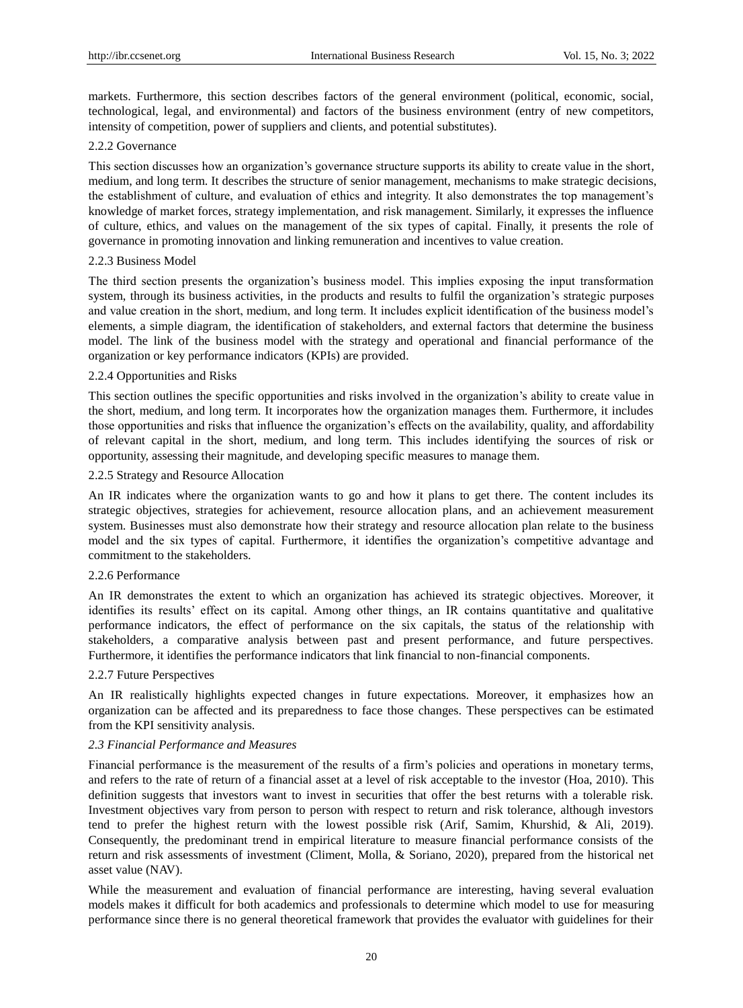markets. Furthermore, this section describes factors of the general environment (political, economic, social, technological, legal, and environmental) and factors of the business environment (entry of new competitors, intensity of competition, power of suppliers and clients, and potential substitutes).

## 2.2.2 Governance

This section discusses how an organization's governance structure supports its ability to create value in the short, medium, and long term. It describes the structure of senior management, mechanisms to make strategic decisions, the establishment of culture, and evaluation of ethics and integrity. It also demonstrates the top management's knowledge of market forces, strategy implementation, and risk management. Similarly, it expresses the influence of culture, ethics, and values on the management of the six types of capital. Finally, it presents the role of governance in promoting innovation and linking remuneration and incentives to value creation.

### 2.2.3 Business Model

The third section presents the organization's business model. This implies exposing the input transformation system, through its business activities, in the products and results to fulfil the organization's strategic purposes and value creation in the short, medium, and long term. It includes explicit identification of the business model's elements, a simple diagram, the identification of stakeholders, and external factors that determine the business model. The link of the business model with the strategy and operational and financial performance of the organization or key performance indicators (KPIs) are provided.

## 2.2.4 Opportunities and Risks

This section outlines the specific opportunities and risks involved in the organization's ability to create value in the short, medium, and long term. It incorporates how the organization manages them. Furthermore, it includes those opportunities and risks that influence the organization's effects on the availability, quality, and affordability of relevant capital in the short, medium, and long term. This includes identifying the sources of risk or opportunity, assessing their magnitude, and developing specific measures to manage them.

### 2.2.5 Strategy and Resource Allocation

An IR indicates where the organization wants to go and how it plans to get there. The content includes its strategic objectives, strategies for achievement, resource allocation plans, and an achievement measurement system. Businesses must also demonstrate how their strategy and resource allocation plan relate to the business model and the six types of capital. Furthermore, it identifies the organization's competitive advantage and commitment to the stakeholders.

# 2.2.6 Performance

An IR demonstrates the extent to which an organization has achieved its strategic objectives. Moreover, it identifies its results' effect on its capital. Among other things, an IR contains quantitative and qualitative performance indicators, the effect of performance on the six capitals, the status of the relationship with stakeholders, a comparative analysis between past and present performance, and future perspectives. Furthermore, it identifies the performance indicators that link financial to non-financial components.

## 2.2.7 Future Perspectives

An IR realistically highlights expected changes in future expectations. Moreover, it emphasizes how an organization can be affected and its preparedness to face those changes. These perspectives can be estimated from the KPI sensitivity analysis.

# *2.3 Financial Performance and Measures*

Financial performance is the measurement of the results of a firm's policies and operations in monetary terms, and refers to the rate of return of a financial asset at a level of risk acceptable to the investor (Hoa, 2010). This definition suggests that investors want to invest in securities that offer the best returns with a tolerable risk. Investment objectives vary from person to person with respect to return and risk tolerance, although investors tend to prefer the highest return with the lowest possible risk (Arif, Samim, Khurshid, & Ali, 2019). Consequently, the predominant trend in empirical literature to measure financial performance consists of the return and risk assessments of investment (Climent, Molla, & Soriano, 2020), prepared from the historical net asset value (NAV).

While the measurement and evaluation of financial performance are interesting, having several evaluation models makes it difficult for both academics and professionals to determine which model to use for measuring performance since there is no general theoretical framework that provides the evaluator with guidelines for their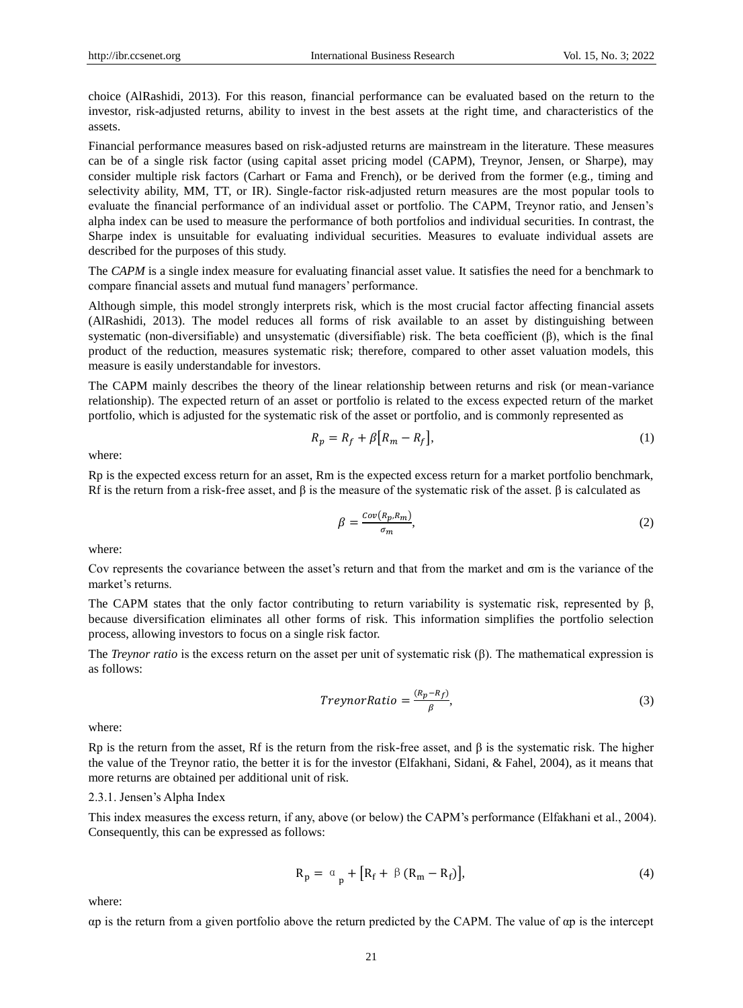choice (AlRashidi, 2013). For this reason, financial performance can be evaluated based on the return to the investor, risk-adjusted returns, ability to invest in the best assets at the right time, and characteristics of the assets.

Financial performance measures based on risk-adjusted returns are mainstream in the literature. These measures can be of a single risk factor (using capital asset pricing model (CAPM), Treynor, Jensen, or Sharpe), may consider multiple risk factors (Carhart or Fama and French), or be derived from the former (e.g., timing and selectivity ability, MM, TT, or IR). Single-factor risk-adjusted return measures are the most popular tools to evaluate the financial performance of an individual asset or portfolio. The CAPM, Treynor ratio, and Jensen's alpha index can be used to measure the performance of both portfolios and individual securities. In contrast, the Sharpe index is unsuitable for evaluating individual securities. Measures to evaluate individual assets are described for the purposes of this study.

The *CAPM* is a single index measure for evaluating financial asset value. It satisfies the need for a benchmark to compare financial assets and mutual fund managers' performance.

Although simple, this model strongly interprets risk, which is the most crucial factor affecting financial assets (AlRashidi, 2013). The model reduces all forms of risk available to an asset by distinguishing between systematic (non-diversifiable) and unsystematic (diversifiable) risk. The beta coefficient (β), which is the final product of the reduction, measures systematic risk; therefore, compared to other asset valuation models, this measure is easily understandable for investors.

The CAPM mainly describes the theory of the linear relationship between returns and risk (or mean-variance relationship). The expected return of an asset or portfolio is related to the excess expected return of the market portfolio, which is adjusted for the systematic risk of the asset or portfolio, and is commonly represented as

$$
R_p = R_f + \beta \left[ R_m - R_f \right],\tag{1}
$$

where:

Rp is the expected excess return for an asset, Rm is the expected excess return for a market portfolio benchmark, Rf is the return from a risk-free asset, and  $\beta$  is the measure of the systematic risk of the asset.  $\beta$  is calculated as

$$
\beta = \frac{Cov(R_p, R_m)}{\sigma_m},\tag{2}
$$

where:

Cov represents the covariance between the asset's return and that from the market and σm is the variance of the market's returns.

The CAPM states that the only factor contributing to return variability is systematic risk, represented by  $\beta$ , because diversification eliminates all other forms of risk. This information simplifies the portfolio selection process, allowing investors to focus on a single risk factor.

The *Treynor ratio* is the excess return on the asset per unit of systematic risk (β). The mathematical expression is as follows:

$$
TreynorRatio = \frac{(R_p - R_f)}{\beta},\tag{3}
$$

where:

Rp is the return from the asset, Rf is the return from the risk-free asset, and  $\beta$  is the systematic risk. The higher the value of the Treynor ratio, the better it is for the investor (Elfakhani, Sidani, & Fahel, 2004), as it means that more returns are obtained per additional unit of risk.

#### 2.3.1. Jensen's Alpha Index

This index measures the excess return, if any, above (or below) the CAPM's performance (Elfakhani et al., 2004). Consequently, this can be expressed as follows:

$$
R_p = \alpha_p + [R_f + \beta (R_m - R_f)], \qquad (4)
$$

where:

αp is the return from a given portfolio above the return predicted by the CAPM. The value of αp is the intercept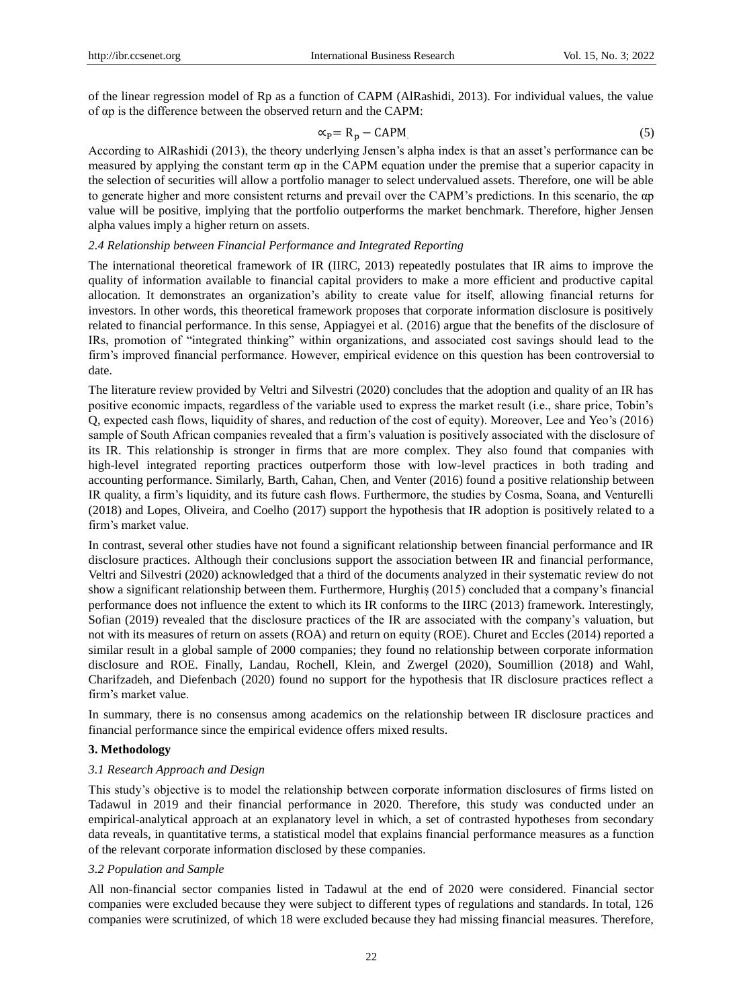of the linear regression model of Rp as a function of CAPM (AlRashidi, 2013). For individual values, the value of αp is the difference between the observed return and the CAPM:

$$
\alpha_p = R_p - CAPM
$$
 (5)

According to AlRashidi (2013), the theory underlying Jensen's alpha index is that an asset's performance can be measured by applying the constant term αp in the CAPM equation under the premise that a superior capacity in the selection of securities will allow a portfolio manager to select undervalued assets. Therefore, one will be able to generate higher and more consistent returns and prevail over the CAPM's predictions. In this scenario, the αp value will be positive, implying that the portfolio outperforms the market benchmark. Therefore, higher Jensen alpha values imply a higher return on assets.

### *2.4 Relationship between Financial Performance and Integrated Reporting*

The international theoretical framework of IR (IIRC, 2013) repeatedly postulates that IR aims to improve the quality of information available to financial capital providers to make a more efficient and productive capital allocation. It demonstrates an organization's ability to create value for itself, allowing financial returns for investors. In other words, this theoretical framework proposes that corporate information disclosure is positively related to financial performance. In this sense, Appiagyei et al. (2016) argue that the benefits of the disclosure of IRs, promotion of "integrated thinking" within organizations, and associated cost savings should lead to the firm's improved financial performance. However, empirical evidence on this question has been controversial to date.

The literature review provided by Veltri and Silvestri (2020) concludes that the adoption and quality of an IR has positive economic impacts, regardless of the variable used to express the market result (i.e., share price, Tobin's Q, expected cash flows, liquidity of shares, and reduction of the cost of equity). Moreover, Lee and Yeo's (2016) sample of South African companies revealed that a firm's valuation is positively associated with the disclosure of its IR. This relationship is stronger in firms that are more complex. They also found that companies with high-level integrated reporting practices outperform those with low-level practices in both trading and accounting performance. Similarly, Barth, Cahan, Chen, and Venter (2016) found a positive relationship between IR quality, a firm's liquidity, and its future cash flows. Furthermore, the studies by Cosma, Soana, and Venturelli (2018) and Lopes, Oliveira, and Coelho (2017) support the hypothesis that IR adoption is positively related to a firm's market value.

In contrast, several other studies have not found a significant relationship between financial performance and IR disclosure practices. Although their conclusions support the association between IR and financial performance, Veltri and Silvestri (2020) acknowledged that a third of the documents analyzed in their systematic review do not show a significant relationship between them. Furthermore, Hurghiș (2015) concluded that a company's financial performance does not influence the extent to which its IR conforms to the IIRC (2013) framework. Interestingly, Sofian (2019) revealed that the disclosure practices of the IR are associated with the company's valuation, but not with its measures of return on assets (ROA) and return on equity (ROE). Churet and Eccles (2014) reported a similar result in a global sample of 2000 companies; they found no relationship between corporate information disclosure and ROE. Finally, Landau, Rochell, Klein, and Zwergel (2020), Soumillion (2018) and Wahl, Charifzadeh, and Diefenbach (2020) found no support for the hypothesis that IR disclosure practices reflect a firm's market value.

In summary, there is no consensus among academics on the relationship between IR disclosure practices and financial performance since the empirical evidence offers mixed results.

## **3. Methodology**

#### *3.1 Research Approach and Design*

This study's objective is to model the relationship between corporate information disclosures of firms listed on Tadawul in 2019 and their financial performance in 2020. Therefore, this study was conducted under an empirical-analytical approach at an explanatory level in which, a set of contrasted hypotheses from secondary data reveals, in quantitative terms, a statistical model that explains financial performance measures as a function of the relevant corporate information disclosed by these companies.

#### *3.2 Population and Sample*

All non-financial sector companies listed in Tadawul at the end of 2020 were considered. Financial sector companies were excluded because they were subject to different types of regulations and standards. In total, 126 companies were scrutinized, of which 18 were excluded because they had missing financial measures. Therefore,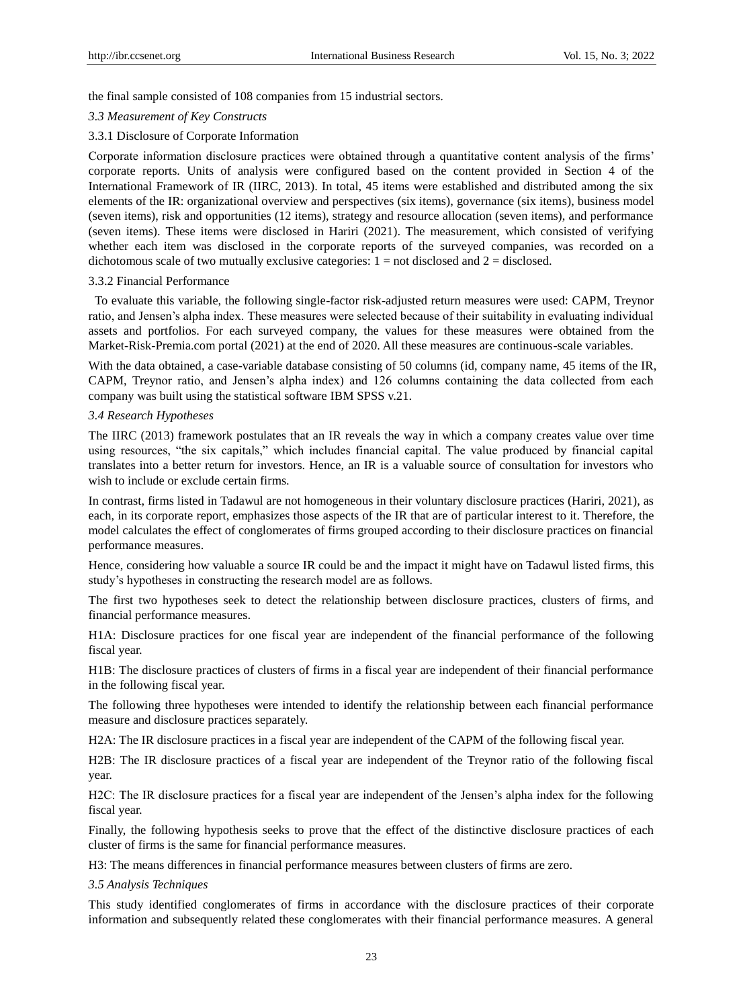the final sample consisted of 108 companies from 15 industrial sectors.

#### *3.3 Measurement of Key Constructs*

#### 3.3.1 Disclosure of Corporate Information

Corporate information disclosure practices were obtained through a quantitative content analysis of the firms' corporate reports. Units of analysis were configured based on the content provided in Section 4 of the International Framework of IR (IIRC, 2013). In total, 45 items were established and distributed among the six elements of the IR: organizational overview and perspectives (six items), governance (six items), business model (seven items), risk and opportunities (12 items), strategy and resource allocation (seven items), and performance (seven items). These items were disclosed in Hariri (2021). The measurement, which consisted of verifying whether each item was disclosed in the corporate reports of the surveyed companies, was recorded on a dichotomous scale of two mutually exclusive categories:  $1 =$  not disclosed and  $2 =$  disclosed.

#### 3.3.2 Financial Performance

To evaluate this variable, the following single-factor risk-adjusted return measures were used: CAPM, Treynor ratio, and Jensen's alpha index. These measures were selected because of their suitability in evaluating individual assets and portfolios. For each surveyed company, the values for these measures were obtained from the Market-Risk-Premia.com portal (2021) at the end of 2020. All these measures are continuous-scale variables.

With the data obtained, a case-variable database consisting of 50 columns (id, company name, 45 items of the IR, CAPM, Treynor ratio, and Jensen's alpha index) and 126 columns containing the data collected from each company was built using the statistical software IBM SPSS v.21.

#### *3.4 Research Hypotheses*

The IIRC (2013) framework postulates that an IR reveals the way in which a company creates value over time using resources, "the six capitals," which includes financial capital. The value produced by financial capital translates into a better return for investors. Hence, an IR is a valuable source of consultation for investors who wish to include or exclude certain firms.

In contrast, firms listed in Tadawul are not homogeneous in their voluntary disclosure practices (Hariri, 2021), as each, in its corporate report, emphasizes those aspects of the IR that are of particular interest to it. Therefore, the model calculates the effect of conglomerates of firms grouped according to their disclosure practices on financial performance measures.

Hence, considering how valuable a source IR could be and the impact it might have on Tadawul listed firms, this study's hypotheses in constructing the research model are as follows.

The first two hypotheses seek to detect the relationship between disclosure practices, clusters of firms, and financial performance measures.

H1A: Disclosure practices for one fiscal year are independent of the financial performance of the following fiscal year.

H1B: The disclosure practices of clusters of firms in a fiscal year are independent of their financial performance in the following fiscal year.

The following three hypotheses were intended to identify the relationship between each financial performance measure and disclosure practices separately.

H2A: The IR disclosure practices in a fiscal year are independent of the CAPM of the following fiscal year.

H2B: The IR disclosure practices of a fiscal year are independent of the Treynor ratio of the following fiscal year.

H2C: The IR disclosure practices for a fiscal year are independent of the Jensen's alpha index for the following fiscal year.

Finally, the following hypothesis seeks to prove that the effect of the distinctive disclosure practices of each cluster of firms is the same for financial performance measures.

H3: The means differences in financial performance measures between clusters of firms are zero.

#### *3.5 Analysis Techniques*

This study identified conglomerates of firms in accordance with the disclosure practices of their corporate information and subsequently related these conglomerates with their financial performance measures. A general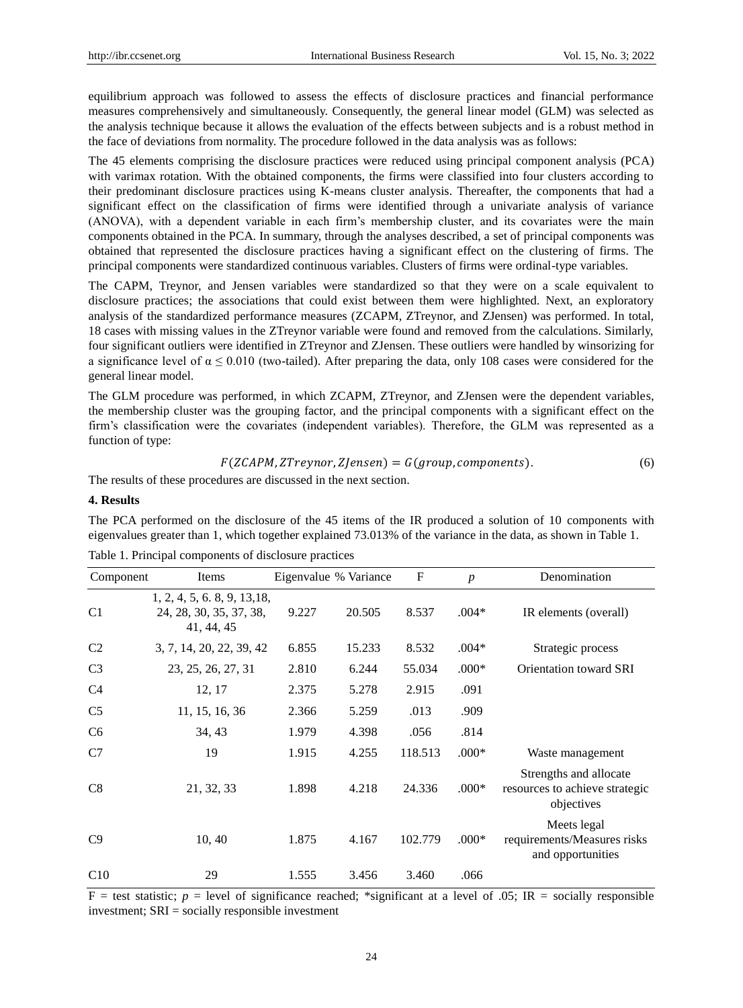equilibrium approach was followed to assess the effects of disclosure practices and financial performance measures comprehensively and simultaneously. Consequently, the general linear model (GLM) was selected as the analysis technique because it allows the evaluation of the effects between subjects and is a robust method in the face of deviations from normality. The procedure followed in the data analysis was as follows:

The 45 elements comprising the disclosure practices were reduced using principal component analysis (PCA) with varimax rotation. With the obtained components, the firms were classified into four clusters according to their predominant disclosure practices using K-means cluster analysis. Thereafter, the components that had a significant effect on the classification of firms were identified through a univariate analysis of variance (ANOVA), with a dependent variable in each firm's membership cluster, and its covariates were the main components obtained in the PCA. In summary, through the analyses described, a set of principal components was obtained that represented the disclosure practices having a significant effect on the clustering of firms. The principal components were standardized continuous variables. Clusters of firms were ordinal-type variables.

The CAPM, Treynor, and Jensen variables were standardized so that they were on a scale equivalent to disclosure practices; the associations that could exist between them were highlighted. Next, an exploratory analysis of the standardized performance measures (ZCAPM, ZTreynor, and ZJensen) was performed. In total, 18 cases with missing values in the ZTreynor variable were found and removed from the calculations. Similarly, four significant outliers were identified in ZTreynor and ZJensen. These outliers were handled by winsorizing for a significance level of  $\alpha \le 0.010$  (two-tailed). After preparing the data, only 108 cases were considered for the general linear model.

The GLM procedure was performed, in which ZCAPM, ZTreynor, and ZJensen were the dependent variables, the membership cluster was the grouping factor, and the principal components with a significant effect on the firm's classification were the covariates (independent variables). Therefore, the GLM was represented as a function of type:

$$
F(ZCAPM, ZTreynor, ZJensen) = G(group, components).
$$
 (6)

The results of these procedures are discussed in the next section.

#### **4. Results**

The PCA performed on the disclosure of the 45 items of the IR produced a solution of 10 components with eigenvalues greater than 1, which together explained 73.013% of the variance in the data, as shown in Table 1.

| Component      | Items                                                                 | Eigenvalue % Variance |        | $\mathbf{F}$ | $\boldsymbol{p}$ | Denomination                                                           |
|----------------|-----------------------------------------------------------------------|-----------------------|--------|--------------|------------------|------------------------------------------------------------------------|
| C <sub>1</sub> | 1, 2, 4, 5, 6, 8, 9, 13, 18,<br>24, 28, 30, 35, 37, 38,<br>41, 44, 45 | 9.227                 | 20.505 | 8.537        | $.004*$          | IR elements (overall)                                                  |
| C <sub>2</sub> | 3, 7, 14, 20, 22, 39, 42                                              | 6.855                 | 15.233 | 8.532        | $.004*$          | Strategic process                                                      |
| C <sub>3</sub> | 23, 25, 26, 27, 31                                                    | 2.810                 | 6.244  | 55.034       | $.000*$          | Orientation toward SRI                                                 |
| C <sub>4</sub> | 12, 17                                                                | 2.375                 | 5.278  | 2.915        | .091             |                                                                        |
| C <sub>5</sub> | 11, 15, 16, 36                                                        | 2.366                 | 5.259  | .013         | .909             |                                                                        |
| C <sub>6</sub> | 34, 43                                                                | 1.979                 | 4.398  | .056         | .814             |                                                                        |
| C7             | 19                                                                    | 1.915                 | 4.255  | 118.513      | $.000*$          | Waste management                                                       |
| C8             | 21, 32, 33                                                            | 1.898                 | 4.218  | 24.336       | $.000*$          | Strengths and allocate<br>resources to achieve strategic<br>objectives |
| C9             | 10, 40                                                                | 1.875                 | 4.167  | 102.779      | $.000*$          | Meets legal<br>requirements/Measures risks<br>and opportunities        |
| C10            | 29                                                                    | 1.555                 | 3.456  | 3.460        | .066             |                                                                        |

Table 1. Principal components of disclosure practices

 $F =$  test statistic;  $p =$  level of significance reached; \*significant at a level of .05; IR = socially responsible investment; SRI = socially responsible investment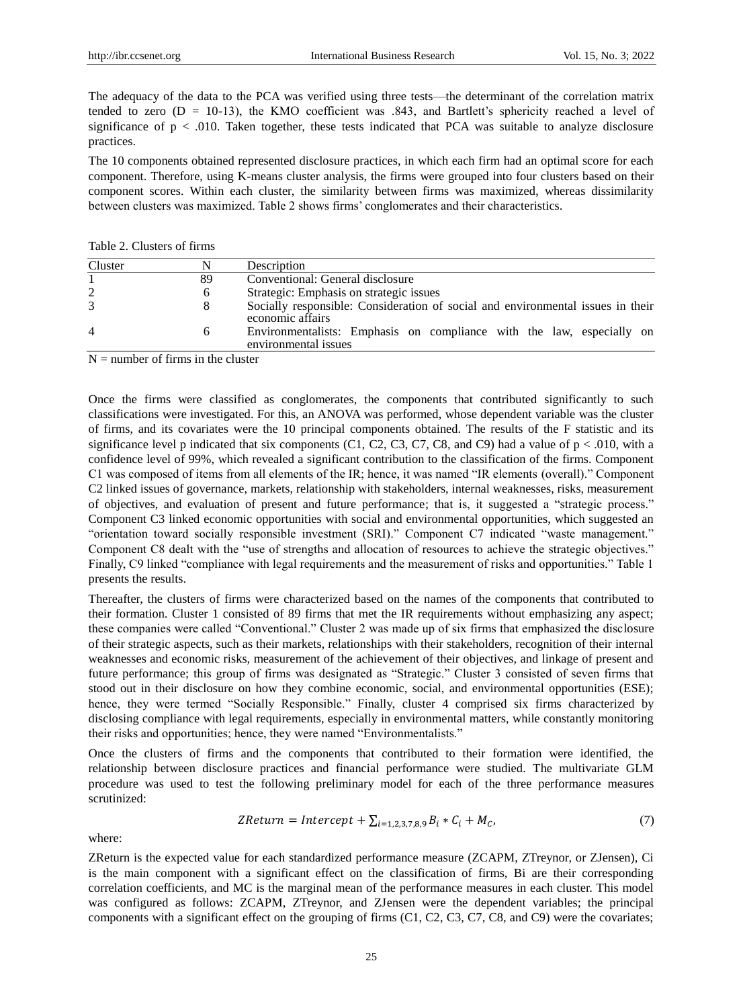The adequacy of the data to the PCA was verified using three tests—the determinant of the correlation matrix tended to zero  $(D = 10-13)$ , the KMO coefficient was .843, and Bartlett's sphericity reached a level of significance of  $p < .010$ . Taken together, these tests indicated that PCA was suitable to analyze disclosure practices.

The 10 components obtained represented disclosure practices, in which each firm had an optimal score for each component. Therefore, using K-means cluster analysis, the firms were grouped into four clusters based on their component scores. Within each cluster, the similarity between firms was maximized, whereas dissimilarity between clusters was maximized. Table 2 shows firms' conglomerates and their characteristics.

Table 2. Clusters of firms

| Cluster        |    | Description                                                                                         |  |  |  |  |  |  |
|----------------|----|-----------------------------------------------------------------------------------------------------|--|--|--|--|--|--|
|                | 89 | Conventional: General disclosure                                                                    |  |  |  |  |  |  |
|                | 6  | Strategic: Emphasis on strategic issues                                                             |  |  |  |  |  |  |
| 3              | 8  | Socially responsible: Consideration of social and environmental issues in their<br>economic affairs |  |  |  |  |  |  |
| $\overline{4}$ | h. | Environmentalists: Emphasis on compliance with the law, especially on<br>environmental issues       |  |  |  |  |  |  |

 $N =$  number of firms in the cluster

Once the firms were classified as conglomerates, the components that contributed significantly to such classifications were investigated. For this, an ANOVA was performed, whose dependent variable was the cluster of firms, and its covariates were the 10 principal components obtained. The results of the F statistic and its significance level p indicated that six components (C1, C2, C3, C7, C8, and C9) had a value of  $p < .010$ , with a confidence level of 99%, which revealed a significant contribution to the classification of the firms. Component C1 was composed of items from all elements of the IR; hence, it was named "IR elements (overall)." Component C2 linked issues of governance, markets, relationship with stakeholders, internal weaknesses, risks, measurement of objectives, and evaluation of present and future performance; that is, it suggested a "strategic process." Component C3 linked economic opportunities with social and environmental opportunities, which suggested an "orientation toward socially responsible investment (SRI)." Component C7 indicated "waste management." Component C8 dealt with the "use of strengths and allocation of resources to achieve the strategic objectives." Finally, C9 linked "compliance with legal requirements and the measurement of risks and opportunities." Table 1 presents the results.

Thereafter, the clusters of firms were characterized based on the names of the components that contributed to their formation. Cluster 1 consisted of 89 firms that met the IR requirements without emphasizing any aspect; these companies were called "Conventional." Cluster 2 was made up of six firms that emphasized the disclosure of their strategic aspects, such as their markets, relationships with their stakeholders, recognition of their internal weaknesses and economic risks, measurement of the achievement of their objectives, and linkage of present and future performance; this group of firms was designated as "Strategic." Cluster 3 consisted of seven firms that stood out in their disclosure on how they combine economic, social, and environmental opportunities (ESE); hence, they were termed "Socially Responsible." Finally, cluster 4 comprised six firms characterized by disclosing compliance with legal requirements, especially in environmental matters, while constantly monitoring their risks and opportunities; hence, they were named "Environmentalists."

Once the clusters of firms and the components that contributed to their formation were identified, the relationship between disclosure practices and financial performance were studied. The multivariate GLM procedure was used to test the following preliminary model for each of the three performance measures scrutinized:

$$
ZReturn = Intercept + \sum_{i=1,2,3,7,8,9} B_i * C_i + M_C,
$$
\n(7)

where:

ZReturn is the expected value for each standardized performance measure (ZCAPM, ZTreynor, or ZJensen), Ci is the main component with a significant effect on the classification of firms, Bi are their corresponding correlation coefficients, and MC is the marginal mean of the performance measures in each cluster. This model was configured as follows: ZCAPM, ZTreynor, and ZJensen were the dependent variables; the principal components with a significant effect on the grouping of firms (C1, C2, C3, C7, C8, and C9) were the covariates;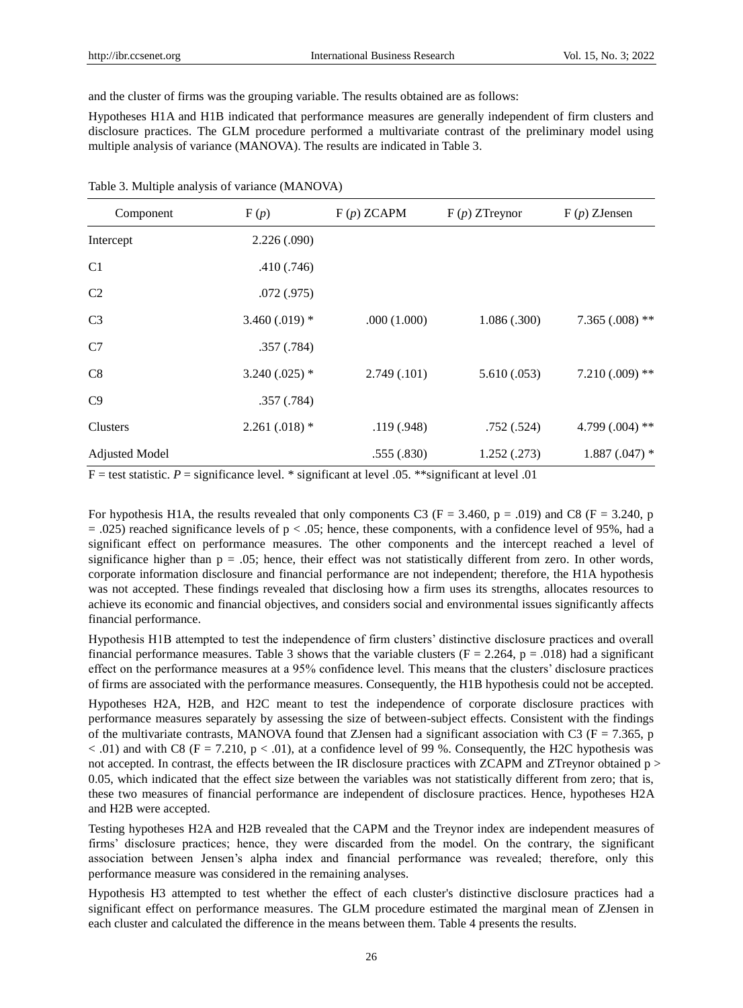and the cluster of firms was the grouping variable. The results obtained are as follows:

Hypotheses H1A and H1B indicated that performance measures are generally independent of firm clusters and disclosure practices. The GLM procedure performed a multivariate contrast of the preliminary model using multiple analysis of variance (MANOVA). The results are indicated in Table 3.

| Component             | F(p)             | F(p) ZCAPM   | $F(p) ZT$ reynor | $F(p)$ ZJensen    |  |
|-----------------------|------------------|--------------|------------------|-------------------|--|
| Intercept             | 2.226(.090)      |              |                  |                   |  |
| C <sub>1</sub>        | .410(.746)       |              |                  |                   |  |
| C <sub>2</sub>        | .072(.975)       |              |                  |                   |  |
| C <sub>3</sub>        | 3.460 $(.019)$ * | .000(1.000)  | 1.086(.300)      | 7.365 $(.008)$ ** |  |
| C7                    | .357(.784)       |              |                  |                   |  |
| C8                    | $3.240(.025)$ *  | 2.749(0.101) | 5.610(.053)      | $7.210(.009)$ **  |  |
| C9                    | .357(.784)       |              |                  |                   |  |
| Clusters              | $2.261(.018)$ *  | .119(.948)   | .752(.524)       | 4.799 $(.004)$ ** |  |
| <b>Adjusted Model</b> |                  | .555(.830)   | 1.252(.273)      | $1.887(.047)$ *   |  |
|                       |                  |              |                  |                   |  |

Table 3. Multiple analysis of variance (MANOVA)

 $F =$  test statistic.  $P =$  significance level. \* significant at level .05. \*\* significant at level .01

For hypothesis H1A, the results revealed that only components C3 (F = 3.460, p = .019) and C8 (F = 3.240, p  $= .025$ ) reached significance levels of  $p < .05$ ; hence, these components, with a confidence level of 95%, had a significant effect on performance measures. The other components and the intercept reached a level of significance higher than  $p = 0.05$ ; hence, their effect was not statistically different from zero. In other words, corporate information disclosure and financial performance are not independent; therefore, the H1A hypothesis was not accepted. These findings revealed that disclosing how a firm uses its strengths, allocates resources to achieve its economic and financial objectives, and considers social and environmental issues significantly affects financial performance.

Hypothesis H1B attempted to test the independence of firm clusters' distinctive disclosure practices and overall financial performance measures. Table 3 shows that the variable clusters ( $F = 2.264$ ,  $p = .018$ ) had a significant effect on the performance measures at a 95% confidence level. This means that the clusters' disclosure practices of firms are associated with the performance measures. Consequently, the H1B hypothesis could not be accepted.

Hypotheses H2A, H2B, and H2C meant to test the independence of corporate disclosure practices with performance measures separately by assessing the size of between-subject effects. Consistent with the findings of the multivariate contrasts, MANOVA found that ZJensen had a significant association with C3 ( $F = 7.365$ , p  $< .01$ ) and with C8 (F = 7.210, p  $< .01$ ), at a confidence level of 99 %. Consequently, the H2C hypothesis was not accepted. In contrast, the effects between the IR disclosure practices with ZCAPM and ZTreynor obtained  $p >$ 0.05, which indicated that the effect size between the variables was not statistically different from zero; that is, these two measures of financial performance are independent of disclosure practices. Hence, hypotheses H2A and H2B were accepted.

Testing hypotheses H2A and H2B revealed that the CAPM and the Treynor index are independent measures of firms' disclosure practices; hence, they were discarded from the model. On the contrary, the significant association between Jensen's alpha index and financial performance was revealed; therefore, only this performance measure was considered in the remaining analyses.

Hypothesis H3 attempted to test whether the effect of each cluster's distinctive disclosure practices had a significant effect on performance measures. The GLM procedure estimated the marginal mean of ZJensen in each cluster and calculated the difference in the means between them. Table 4 presents the results.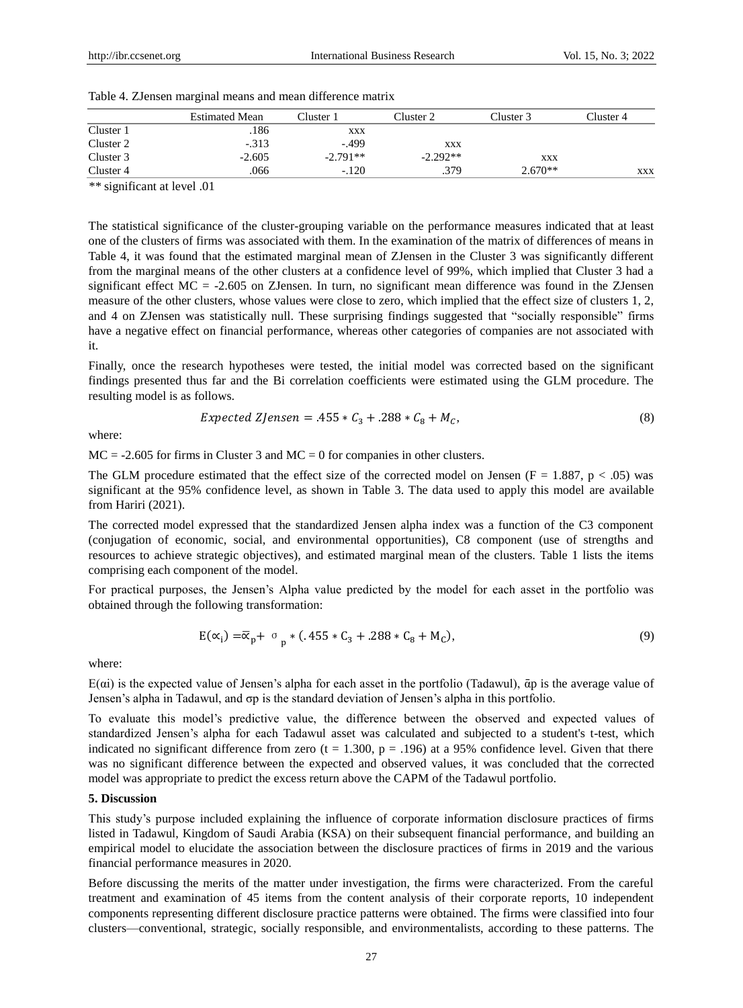|           | <b>Estimated Mean</b> | $\bigcap$ uster 1 | Cluster 2  | Cluster 3  | Cluster 4 |
|-----------|-----------------------|-------------------|------------|------------|-----------|
| Cluster 1 | .186                  | XXX               |            |            |           |
| Cluster 2 | $-313$                | $-.499$           | XXX        |            |           |
| Cluster 3 | $-2.605$              | $-2.791**$        | $-2.292**$ | <b>XXX</b> |           |
| Cluster 4 | .066                  | $-.120$           | .379       | $2.670**$  | XXX       |

|  |  |  |  | Table 4. ZJensen marginal means and mean difference matrix |  |
|--|--|--|--|------------------------------------------------------------|--|
|  |  |  |  |                                                            |  |

*\*\** significant at level .01

The statistical significance of the cluster-grouping variable on the performance measures indicated that at least one of the clusters of firms was associated with them. In the examination of the matrix of differences of means in Table 4, it was found that the estimated marginal mean of ZJensen in the Cluster 3 was significantly different from the marginal means of the other clusters at a confidence level of 99%, which implied that Cluster 3 had a significant effect MC = -2.605 on ZJensen. In turn, no significant mean difference was found in the ZJensen measure of the other clusters, whose values were close to zero, which implied that the effect size of clusters 1, 2, and 4 on ZJensen was statistically null. These surprising findings suggested that "socially responsible" firms have a negative effect on financial performance, whereas other categories of companies are not associated with it.

Finally, once the research hypotheses were tested, the initial model was corrected based on the significant findings presented thus far and the Bi correlation coefficients were estimated using the GLM procedure. The resulting model is as follows.

$$
Expected ZJensen = .455 * C_3 + .288 * C_8 + M_c,
$$
\n(8)

where:

 $MC = -2.605$  for firms in Cluster 3 and  $MC = 0$  for companies in other clusters.

The GLM procedure estimated that the effect size of the corrected model on Jensen ( $F = 1.887$ ,  $p < .05$ ) was significant at the 95% confidence level, as shown in Table 3. The data used to apply this model are available from Hariri (2021).

The corrected model expressed that the standardized Jensen alpha index was a function of the C3 component (conjugation of economic, social, and environmental opportunities), C8 component (use of strengths and resources to achieve strategic objectives), and estimated marginal mean of the clusters. Table 1 lists the items comprising each component of the model.

For practical purposes, the Jensen's Alpha value predicted by the model for each asset in the portfolio was obtained through the following transformation:

$$
E(\alpha_i) = \overline{\alpha}_p + \sigma_p * (.455 * C_3 + .288 * C_8 + M_c),
$$
\n(9)

where:

 $E(\alpha i)$  is the expected value of Jensen's alpha for each asset in the portfolio (Tadawul),  $\bar{\alpha}$  p is the average value of Jensen's alpha in Tadawul, and σp is the standard deviation of Jensen's alpha in this portfolio.

To evaluate this model's predictive value, the difference between the observed and expected values of standardized Jensen's alpha for each Tadawul asset was calculated and subjected to a student's t-test, which indicated no significant difference from zero (t = 1.300, p = .196) at a 95% confidence level. Given that there was no significant difference between the expected and observed values, it was concluded that the corrected model was appropriate to predict the excess return above the CAPM of the Tadawul portfolio.

## **5. Discussion**

This study's purpose included explaining the influence of corporate information disclosure practices of firms listed in Tadawul, Kingdom of Saudi Arabia (KSA) on their subsequent financial performance, and building an empirical model to elucidate the association between the disclosure practices of firms in 2019 and the various financial performance measures in 2020.

Before discussing the merits of the matter under investigation, the firms were characterized. From the careful treatment and examination of 45 items from the content analysis of their corporate reports, 10 independent components representing different disclosure practice patterns were obtained. The firms were classified into four clusters—conventional, strategic, socially responsible, and environmentalists, according to these patterns. The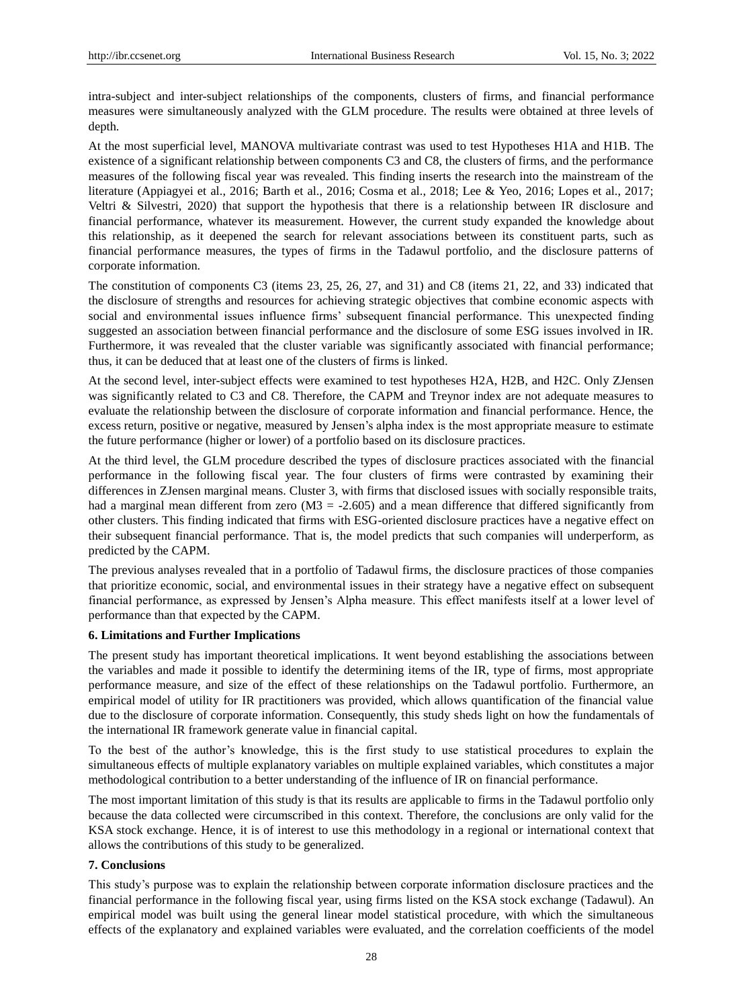intra-subject and inter-subject relationships of the components, clusters of firms, and financial performance measures were simultaneously analyzed with the GLM procedure. The results were obtained at three levels of depth.

At the most superficial level, MANOVA multivariate contrast was used to test Hypotheses H1A and H1B. The existence of a significant relationship between components C3 and C8, the clusters of firms, and the performance measures of the following fiscal year was revealed. This finding inserts the research into the mainstream of the literature (Appiagyei et al., 2016; Barth et al., 2016; Cosma et al., 2018; Lee & Yeo, 2016; Lopes et al., 2017; Veltri & Silvestri, 2020) that support the hypothesis that there is a relationship between IR disclosure and financial performance, whatever its measurement. However, the current study expanded the knowledge about this relationship, as it deepened the search for relevant associations between its constituent parts, such as financial performance measures, the types of firms in the Tadawul portfolio, and the disclosure patterns of corporate information.

The constitution of components C3 (items 23, 25, 26, 27, and 31) and C8 (items 21, 22, and 33) indicated that the disclosure of strengths and resources for achieving strategic objectives that combine economic aspects with social and environmental issues influence firms' subsequent financial performance. This unexpected finding suggested an association between financial performance and the disclosure of some ESG issues involved in IR. Furthermore, it was revealed that the cluster variable was significantly associated with financial performance; thus, it can be deduced that at least one of the clusters of firms is linked.

At the second level, inter-subject effects were examined to test hypotheses H2A, H2B, and H2C. Only ZJensen was significantly related to C3 and C8. Therefore, the CAPM and Treynor index are not adequate measures to evaluate the relationship between the disclosure of corporate information and financial performance. Hence, the excess return, positive or negative, measured by Jensen's alpha index is the most appropriate measure to estimate the future performance (higher or lower) of a portfolio based on its disclosure practices.

At the third level, the GLM procedure described the types of disclosure practices associated with the financial performance in the following fiscal year. The four clusters of firms were contrasted by examining their differences in ZJensen marginal means. Cluster 3, with firms that disclosed issues with socially responsible traits, had a marginal mean different from zero  $(M3 = -2.605)$  and a mean difference that differed significantly from other clusters. This finding indicated that firms with ESG-oriented disclosure practices have a negative effect on their subsequent financial performance. That is, the model predicts that such companies will underperform, as predicted by the CAPM.

The previous analyses revealed that in a portfolio of Tadawul firms, the disclosure practices of those companies that prioritize economic, social, and environmental issues in their strategy have a negative effect on subsequent financial performance, as expressed by Jensen's Alpha measure. This effect manifests itself at a lower level of performance than that expected by the CAPM.

# **6. Limitations and Further Implications**

The present study has important theoretical implications. It went beyond establishing the associations between the variables and made it possible to identify the determining items of the IR, type of firms, most appropriate performance measure, and size of the effect of these relationships on the Tadawul portfolio. Furthermore, an empirical model of utility for IR practitioners was provided, which allows quantification of the financial value due to the disclosure of corporate information. Consequently, this study sheds light on how the fundamentals of the international IR framework generate value in financial capital.

To the best of the author's knowledge, this is the first study to use statistical procedures to explain the simultaneous effects of multiple explanatory variables on multiple explained variables, which constitutes a major methodological contribution to a better understanding of the influence of IR on financial performance.

The most important limitation of this study is that its results are applicable to firms in the Tadawul portfolio only because the data collected were circumscribed in this context. Therefore, the conclusions are only valid for the KSA stock exchange. Hence, it is of interest to use this methodology in a regional or international context that allows the contributions of this study to be generalized.

# **7. Conclusions**

This study's purpose was to explain the relationship between corporate information disclosure practices and the financial performance in the following fiscal year, using firms listed on the KSA stock exchange (Tadawul). An empirical model was built using the general linear model statistical procedure, with which the simultaneous effects of the explanatory and explained variables were evaluated, and the correlation coefficients of the model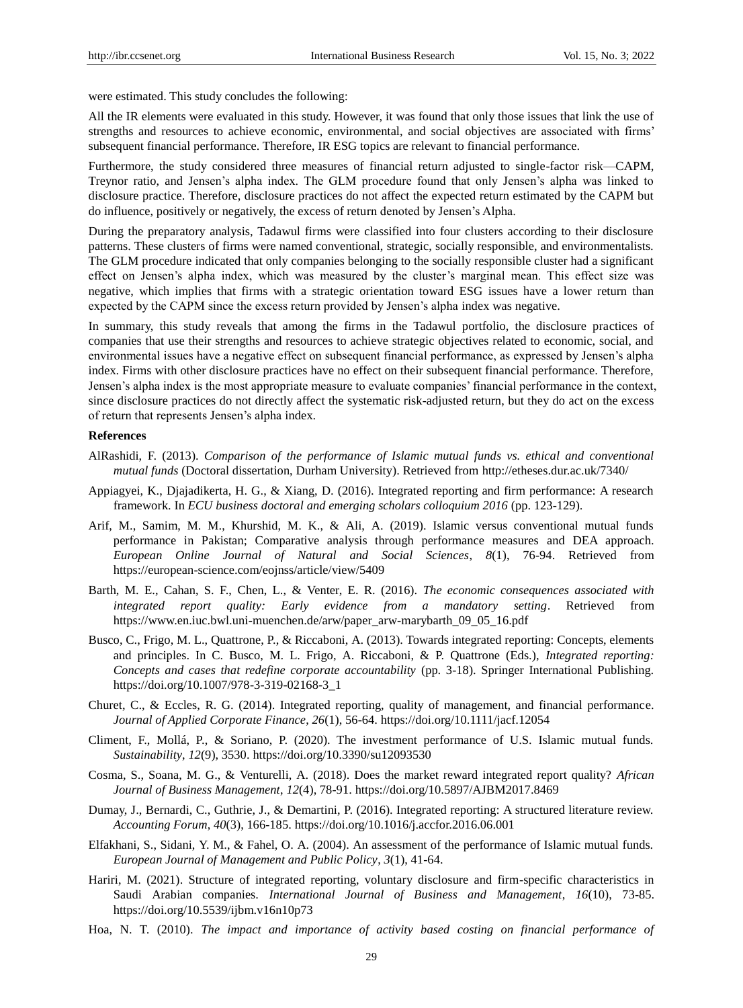were estimated. This study concludes the following:

All the IR elements were evaluated in this study. However, it was found that only those issues that link the use of strengths and resources to achieve economic, environmental, and social objectives are associated with firms' subsequent financial performance. Therefore, IR ESG topics are relevant to financial performance.

Furthermore, the study considered three measures of financial return adjusted to single-factor risk—CAPM, Treynor ratio, and Jensen's alpha index. The GLM procedure found that only Jensen's alpha was linked to disclosure practice. Therefore, disclosure practices do not affect the expected return estimated by the CAPM but do influence, positively or negatively, the excess of return denoted by Jensen's Alpha.

During the preparatory analysis, Tadawul firms were classified into four clusters according to their disclosure patterns. These clusters of firms were named conventional, strategic, socially responsible, and environmentalists. The GLM procedure indicated that only companies belonging to the socially responsible cluster had a significant effect on Jensen's alpha index, which was measured by the cluster's marginal mean. This effect size was negative, which implies that firms with a strategic orientation toward ESG issues have a lower return than expected by the CAPM since the excess return provided by Jensen's alpha index was negative.

In summary, this study reveals that among the firms in the Tadawul portfolio, the disclosure practices of companies that use their strengths and resources to achieve strategic objectives related to economic, social, and environmental issues have a negative effect on subsequent financial performance, as expressed by Jensen's alpha index. Firms with other disclosure practices have no effect on their subsequent financial performance. Therefore, Jensen's alpha index is the most appropriate measure to evaluate companies' financial performance in the context, since disclosure practices do not directly affect the systematic risk-adjusted return, but they do act on the excess of return that represents Jensen's alpha index.

### **References**

- AlRashidi, F. (2013). *Comparison of the performance of Islamic mutual funds vs. ethical and conventional mutual funds* (Doctoral dissertation, Durham University). Retrieved from<http://etheses.dur.ac.uk/7340/>
- Appiagyei, K., Djajadikerta, H. G., & Xiang, D. (2016). Integrated reporting and firm performance: A research framework. In *ECU business doctoral and emerging scholars colloquium 2016* (pp. 123-129).
- Arif, M., Samim, M. M., Khurshid, M. K., & Ali, A. (2019). Islamic versus conventional mutual funds performance in Pakistan; Comparative analysis through performance measures and DEA approach. *European Online Journal of Natural and Social Sciences*, *8*(1), 76-94. Retrieved from <https://european-science.com/eojnss/article/view/5409>
- Barth, M. E., Cahan, S. F., Chen, L., & Venter, E. R. (2016). *The economic consequences associated with integrated report quality: Early evidence from a mandatory setting*. Retrieved from https://www.en.iuc.bwl.uni-muenchen.de/arw/paper\_arw-marybarth\_09\_05\_16.pdf
- Busco, C., Frigo, M. L., Quattrone, P., & Riccaboni, A. (2013). Towards integrated reporting: Concepts, elements and principles. In C. Busco, M. L. Frigo, A. Riccaboni, & P. Quattrone (Eds.), *Integrated reporting: Concepts and cases that redefine corporate accountability* (pp. 3-18). Springer International Publishing. [https://doi.org/10.1007/978-3-319-02168-3\\_1](https://doi.org/10.1007/978-3-319-02168-3_1)
- Churet, C., & Eccles, R. G. (2014). Integrated reporting, quality of management, and financial performance. *Journal of Applied Corporate Finance*, *26*(1), 56-64.<https://doi.org/10.1111/jacf.12054>
- Climent, F., Mollá, P., & Soriano, P. (2020). The investment performance of U.S. Islamic mutual funds. *Sustainability*, *12*(9), 3530[. https://doi.org/10.3390/su12093530](https://doi.org/10.3390/su12093530)
- Cosma, S., Soana, M. G., & Venturelli, A. (2018). Does the market reward integrated report quality? *African Journal of Business Management*, *12*(4), 78-91. <https://doi.org/10.5897/AJBM2017.8469>
- Dumay, J., Bernardi, C., Guthrie, J., & Demartini, P. (2016). Integrated reporting: A structured literature review. *Accounting Forum*, *40*(3), 166-185.<https://doi.org/10.1016/j.accfor.2016.06.001>
- Elfakhani, S., Sidani, Y. M., & Fahel, O. A. (2004). An assessment of the performance of Islamic mutual funds. *European Journal of Management and Public Policy*, *3*(1), 41-64.
- Hariri, M. (2021). Structure of integrated reporting, voluntary disclosure and firm-specific characteristics in Saudi Arabian companies. *International Journal of Business and Management*, *16*(10), 73-85. https://doi.org/10.5539/ijbm.v16n10p73
- Hoa, N. T. (2010). *The impact and importance of activity based costing on financial performance of*